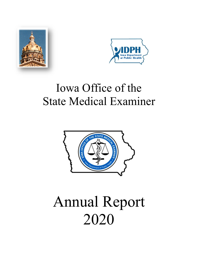



## Iowa Office of the State Medical Examiner



# Annual Report 2020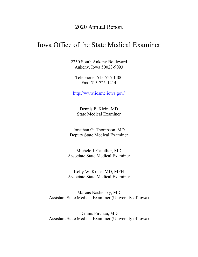## 2020 Annual Report

## Iowa Office of the State Medical Examiner

2250 South Ankeny Boulevard Ankeny, Iowa 50023-9093

Telephone: 515-725-1400 Fax: 515-725-1414

<http://www.iosme.iowa.gov/>

Dennis F. Klein, MD State Medical Examiner

Jonathan G. Thompson, MD Deputy State Medical Examiner

Michele J. Catellier, MD Associate State Medical Examiner

Kelly W. Kruse, MD, MPH Associate State Medical Examiner

Marcus Nashelsky, MD Assistant State Medical Examiner (University of Iowa)

Dennis Firchau, MD Assistant State Medical Examiner (University of Iowa)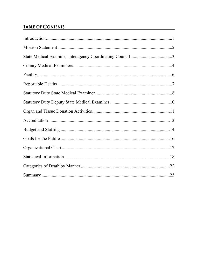## TABLE OF CONTENTS

| State Medical Examiner Interagency Coordinating Council 3 |  |
|-----------------------------------------------------------|--|
|                                                           |  |
|                                                           |  |
|                                                           |  |
|                                                           |  |
|                                                           |  |
|                                                           |  |
|                                                           |  |
|                                                           |  |
|                                                           |  |
|                                                           |  |
|                                                           |  |
|                                                           |  |
|                                                           |  |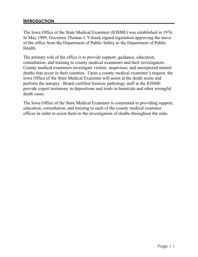#### <span id="page-3-0"></span>**INTRODUCTION**

The Iowa Office of the State Medical Examiner (IOSME) was established in 1976. In May 1999, Governor Thomas J. Vilsack signed legislation approving the move of the office from the Department of Public Safety to the Department of Public Health.

The primary role of the office is to provide support, guidance, education, consultation, and training to county medical examiners and their investigators. County medical examiners investigate violent, suspicious, and unexpected natural deaths that occur in their counties. Upon a county medical examiner's request, the Iowa Office of the State Medical Examiner will assist at the death scene and perform the autopsy. Board certified forensic pathology staff at the IOSME provide expert testimony in depositions and trials in homicide and other wrongful death cases.

The Iowa Office of the State Medical Examiner is committed to providing support, education, consultation, and training to each of the county medical examiner offices in order to assist them in the investigation of deaths throughout the state.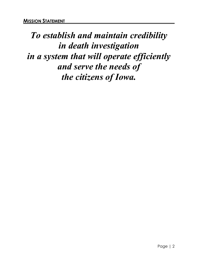<span id="page-4-0"></span>*To establish and maintain credibility in death investigation in a system that will operate efficiently and serve the needs of the citizens of Iowa.*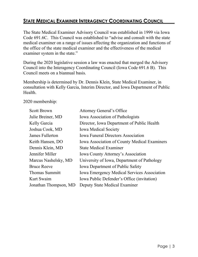## <span id="page-5-0"></span>**STATE MEDICAL EXAMINER INTERAGENCY COORDINATING COUNCIL**

The State Medical Examiner Advisory Council was established in 1999 via Iowa Code 691.6C. This Council was established to "advise and consult with the state medical examiner on a range of issues affecting the organization and functions of the office of the state medical examiner and the effectiveness of the medical examiner system in the state."

During the 2020 legislative session a law was enacted that merged the Advisory Council into the Interagency Coordinating Council (Iowa Code 691.6 B). This Council meets on a biannual basis.

Membership is determined by Dr. Dennis Klein, State Medical Examiner, in consultation with Kelly Garcia, Interim Director, and Iowa Department of Public Health.

2020 membership:

| <b>Scott Brown</b>    | <b>Attorney General's Office</b>                    |
|-----------------------|-----------------------------------------------------|
| Julie Breiner, MD     | <b>Iowa Association of Pathologists</b>             |
| Kelly Garcia          | Director, Iowa Department of Public Health          |
| Joshua Cook, MD       | <b>Iowa Medical Society</b>                         |
| James Fullerton       | <b>Iowa Funeral Directors Association</b>           |
| Keith Hansen, DO      | <b>Iowa Association of County Medical Examiners</b> |
| Dennis Klein, MD      | <b>State Medical Examiner</b>                       |
| Jennifer Miller       | Iowa County Attorney's Association                  |
| Marcus Nashelsky, MD  | University of Iowa, Department of Pathology         |
| <b>Bruce Reeve</b>    | <b>Iowa Department of Public Safety</b>             |
| <b>Thomas Summitt</b> | <b>Iowa Emergency Medical Services Association</b>  |
| Kurt Swaim            | Iowa Public Defender's Office (invitation)          |
| Jonathan Thompson, MD | Deputy State Medical Examiner                       |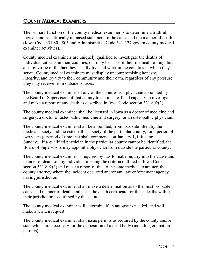## <span id="page-6-0"></span>**COUNTY MEDICAL EXAMINERS**

The primary function of the county medical examiner is to determine a truthful, logical, and scientifically unbiased statement of the cause and the manner of death. (Iowa Code 331.801-805 and Administrative Code 641-127 govern county medical examiner activities).

County medical examiners are uniquely qualified to investigate the deaths of individual citizens in their counties, not only because of their medical training, but also by virtue of the fact they usually live and work in the counties in which they serve. County medical examiners must display uncompromising honesty, integrity, and loyalty to their community and their oath, regardless of any pressure they may receive from outside sources.

The county medical examiner of any of the counties is a physician appointed by the Board of Supervisors of that county to act in an official capacity to investigate and make a report of any death as described in Iowa Code section 331.802(3).

The county medical examiner shall be licensed in Iowa as a doctor of medicine and surgery, a doctor of osteopathic medicine and surgery, or an osteopathic physician.

The county medical examiner shall be appointed, from lists submitted by the medical society and the osteopathic society of the particular county, for a period of two years (a period of time that shall commence on January 1, if it is not a Sunday). If a qualified physician in the particular county cannot be identified, the Board of Supervisors may appoint a physician from outside the particular county.

The county medical examiner is required by law to make inquiry into the cause and manner of death of any individual meeting the criteria outlined in Iowa Code section 331.802(3) and make a report of this to the state medical examiner, the county attorney where the incident occurred and/or any law enforcement agency having jurisdiction.

The county medical examiner shall make a determination as to the most probable cause and manner of death, and issue the death certificate for those deaths within their jurisdiction as outlined by the statute.

The county medical examiner will determine if an autopsy is needed, and will make a written request.

The county medical examiner shall issue permits as required by the county and/or state which are necessary for the disposition of a dead body (including cremation permits).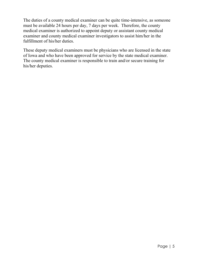The duties of a county medical examiner can be quite time-intensive, as someone must be available 24 hours per day, 7 days per week. Therefore, the county medical examiner is authorized to appoint deputy or assistant county medical examiner and county medical examiner investigators to assist him/her in the fulfillment of his/her duties.

These deputy medical examiners must be physicians who are licensed in the state of Iowa and who have been approved for service by the state medical examiner. The county medical examiner is responsible to train and/or secure training for his/her deputies.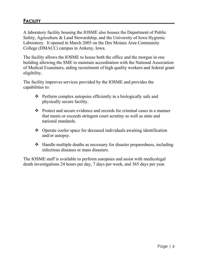## <span id="page-8-0"></span>**FACILITY**

A laboratory facility housing the IOSME also houses the Department of Public Safety, Agriculture & Land Stewardship, and the University of Iowa Hygienic Laboratory. It opened in March 2005 on the Des Moines Area Community College (DMACC) campus in Ankeny, Iowa.

The facility allows the IOSME to house both the office and the morgue in one building allowing the SME to maintain accreditation with the National Association of Medical Examiners, aiding recruitment of high quality workers and federal grant eligibility.

The facility improves services provided by the IOSME and provides the capabilities to:

- Perform complex autopsies efficiently in a biologically safe and physically secure facility.
- Protect and secure evidence and records for criminal cases in a manner that meets or exceeds stringent court scrutiny as well as state and national standards.
- Operate cooler space for deceased individuals awaiting identification and/or autopsy.
- Handle multiple deaths as necessary for disaster preparedness, including infectious diseases or mass disasters.

The IOSME staff is available to perform autopsies and assist with medicolegal death investigations 24 hours per day, 7 days per week, and 365 days per year.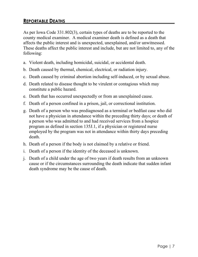## <span id="page-9-0"></span>**REPORTABLE DEATHS**

As per Iowa Code 331.802(3), certain types of deaths are to be reported to the county medical examiner. A medical examiner death is defined as a death that affects the public interest and is unexpected, unexplained, and/or unwitnessed. These deaths affect the public interest and include, but are not limited to, any of the following:

- a. Violent death, including homicidal, suicidal, or accidental death.
- b. Death caused by thermal, chemical, electrical, or radiation injury.
- c. Death caused by criminal abortion including self-induced, or by sexual abuse.
- d. Death related to disease thought to be virulent or contagious which may constitute a public hazard.
- e. Death that has occurred unexpectedly or from an unexplained cause.
- f. Death of a person confined in a prison, jail, or correctional institution.
- g. Death of a person who was prediagnosed as a terminal or bedfast case who did not have a physician in attendance within the preceding thirty days; or death of a person who was admitted to and had received services from a hospice program as defined in section 135J.1, if a physician or registered nurse employed by the program was not in attendance within thirty days preceding death.
- h. Death of a person if the body is not claimed by a relative or friend.
- i. Death of a person if the identity of the deceased is unknown.
- j. Death of a child under the age of two years if death results from an unknown cause or if the circumstances surrounding the death indicate that sudden infant death syndrome may be the cause of death.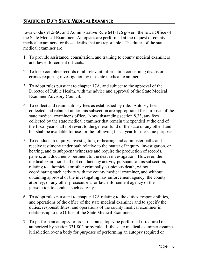## <span id="page-10-0"></span>**STATUTORY DUTY STATE MEDICAL EXAMINER**

Iowa Code 691.5-6C and Administrative Rule 641-126 govern the Iowa Office of the State Medical Examiner. Autopsies are performed at the request of county medical examiners for those deaths that are reportable. The duties of the state medical examiner are:

- 1. To provide assistance, consultation, and training to county medical examiners and law enforcement officials.
- 2. To keep complete records of all relevant information concerning deaths or crimes requiring investigation by the state medical examiner.
- 3. To adopt rules pursuant to chapter 17A, and subject to the approval of the Director of Public Health, with the advice and approval of the State Medical Examiner Advisory Council.
- 4. To collect and retain autopsy fees as established by rule. Autopsy fees collected and retained under this subsection are appropriated for purposes of the state medical examiner's office. Notwithstanding section 8.33, any fees collected by the state medical examiner that remain unexpended at the end of the fiscal year shall not revert to the general fund of the state or any other fund but shall be available for use for the following fiscal year for the same purpose.
- 5. To conduct an inquiry, investigation, or hearing and administer oaths and receive testimony under oath relative to the matter of inquiry, investigation, or hearing, and to subpoena witnesses and require the production of records, papers, and documents pertinent to the death investigation. However, the medical examiner shall not conduct any activity pursuant to this subsection, relating to a homicide or other criminally suspicious death, without coordinating such activity with the county medical examiner, and without obtaining approval of the investigating law enforcement agency, the county attorney, or any other prosecutorial or law enforcement agency of the jurisdiction to conduct such activity.
- 6. To adopt rules pursuant to chapter 17A relating to the duties, responsibilities, and operations of the office of the state medical examiner and to specify the duties, responsibilities, and operations of the county medical examiner in relationship to the Office of the State Medical Examiner.
- 7. To perform an autopsy or order that an autopsy be performed if required or authorized by section 331.802 or by rule. If the state medical examiner assumes jurisdiction over a body for purposes of performing an autopsy required or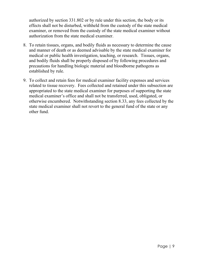authorized by section 331.802 or by rule under this section, the body or its effects shall not be disturbed, withheld from the custody of the state medical examiner, or removed from the custody of the state medical examiner without authorization from the state medical examiner.

- 8. To retain tissues, organs, and bodily fluids as necessary to determine the cause and manner of death or as deemed advisable by the state medical examiner for medical or public health investigation, teaching, or research. Tissues, organs, and bodily fluids shall be properly disposed of by following procedures and precautions for handling biologic material and bloodborne pathogens as established by rule.
- 9. To collect and retain fees for medical examiner facility expenses and services related to tissue recovery. Fees collected and retained under this subsection are appropriated to the state medical examiner for purposes of supporting the state medical examiner's office and shall not be transferred, used, obligated, or otherwise encumbered. Notwithstanding section 8.33, any fees collected by the state medical examiner shall not revert to the general fund of the state or any other fund.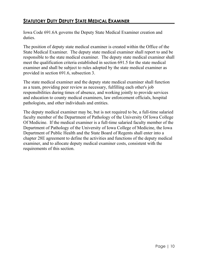## <span id="page-12-0"></span>**STATUTORY DUTY DEPUTY STATE MEDICAL EXAMINER**

Iowa Code 691.6A governs the Deputy State Medical Examiner creation and duties.

The position of deputy state medical examiner is created within the Office of the State Medical Examiner. The deputy state medical examiner shall report to and be responsible to the state medical examiner. The deputy state medical examiner shall meet the qualification criteria established in section 691.5 for the state medical examiner and shall be subject to rules adopted by the state medical examiner as provided in section 691.6, subsection 3.

The state medical examiner and the deputy state medical examiner shall function as a team, providing peer review as necessary, fulfilling each other's job responsibilities during times of absence, and working jointly to provide services and education to county medical examiners, law enforcement officials, hospital pathologists, and other individuals and entities.

The deputy medical examiner may be, but is not required to be, a full-time salaried faculty member of the Department of Pathology of the University Of Iowa College Of Medicine. If the medical examiner is a full-time salaried faculty member of the Department of Pathology of the University of Iowa College of Medicine, the Iowa Department of Public Health and the State Board of Regents shall enter into a chapter 28E agreement to define the activities and functions of the deputy medical examiner, and to allocate deputy medical examiner costs, consistent with the requirements of this section.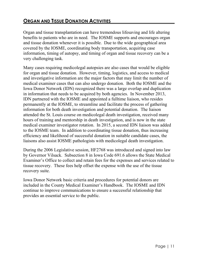## <span id="page-13-0"></span>**ORGAN AND TISSUE DONATION ACTIVITIES**

Organ and tissue transplantation can have tremendous lifesaving and life altering benefits to patients who are in need. The IOSME supports and encourages organ and tissue donation whenever it is possible. Due to the wide geographical area covered by the IOSME, coordinating body transportation, acquiring case information, timing of autopsy, and timing of organ and tissue recovery can be a very challenging task.

Many cases requiring medicolegal autopsies are also cases that would be eligible for organ and tissue donation. However, timing, logistics, and access to medical and investigative information are the major factors that may limit the number of medical examiner cases that can also undergo donation. Both the IOSME and the Iowa Donor Network (IDN) recognized there was a large overlap and duplication in information that needs to be acquired by both agencies. In November 2013, IDN partnered with the IOSME and appointed a fulltime liaison, who resides permanently at the IOSME, to streamline and facilitate the process of gathering information for both death investigation and potential donation. The liaison attended the St. Louis course on medicolegal death investigation, received many hours of training and mentorship in death investigation, and is now in the state medical examiner investigator rotation. In 2015, a second IDN liaison was added to the IOSME team. In addition to coordinating tissue donation, thus increasing efficiency and likelihood of successful donation in suitable candidate cases, the liaisons also assist IOSME pathologists with medicolegal death investigation.

During the 2006 Legislative session, HF2768 was introduced and signed into law by Governor Vilsack. Subsection 8 in Iowa Code 691.6 allows the State Medical Examiner's Office to collect and retain fees for the expenses and services related to tissue recovery. These fees help offset the expense with the use of the tissue recovery suite.

Iowa Donor Network basic criteria and procedures for potential donors are included in the County Medical Examiner's Handbook. The IOSME and IDN continue to improve communications to ensure a successful relationship that provides an essential service to the public.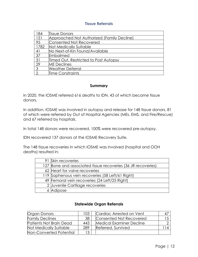#### **Tissue Referrals**

| 184            | Tissue Donors                              |
|----------------|--------------------------------------------|
| 151            | Approached Not Authorized (Family Decline) |
| 95             | Consented Not Recovered                    |
| 1782           | Not Medically Suitable                     |
| 41             | No Next-of-Kin Found/Available             |
| 37             | Embalmed                                   |
| 31             | Timed Out, Restricted to Post Autopsy      |
| 29             | <b>ME</b> Declines                         |
| $\overline{3}$ | <b>Weather Deferral</b>                    |
| - ೧            | Time Constraints                           |

#### **Summary**

In 2020, the IOSME referred 616 deaths to IDN, 43 of which became tissue donors.

In addition, IOSME was involved in autopsy and release for 148 tissue donors, 81 of which were referred by Out of Hospital Agencies (MEs, EMS, and Fire/Rescue) and 67 referred by hospitals.

In total 148 donors were recovered, 100% were recovered pre-autopsy.

IDN recovered 137 donors at the IOSME Recovery Suite.

The 148 tissue recoveries in which IOSME was involved (hospital and OOH deaths) resulted in:

| 91 Skin recoveries                                           |
|--------------------------------------------------------------|
| 127 Bone and associated tissue recoveries (36 JR recoveries) |
| 62 Heart for valve recoveries                                |
| 119 Saphenous vein recoveries (58 Left/61 Right)             |
| 49 Femoral vein recoveries (24 Left/25 Right)                |
| 2 Juvenile Cartilage recoveries                              |
| 6 Adipose                                                    |

#### **Statewide Organ Referrals**

| Organ Donors            | 103 | Cardiac Arrested on Vent        |  |
|-------------------------|-----|---------------------------------|--|
| <b>Family Declines</b>  | 38  | Consented Not Recovered         |  |
| Patients Not Brain Dead | 443 | <b>Medical Examiner Decline</b> |  |
| Not Medically Suitable  | 289 | Referred, Survived              |  |
| Non-Converted Potential | 13  |                                 |  |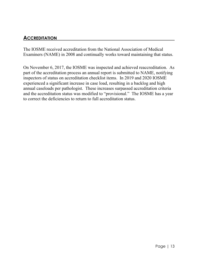## <span id="page-15-0"></span>**ACCREDITATION**

The IOSME received accreditation from the National Association of Medical Examiners (NAME) in 2008 and continually works toward maintaining that status.

On November 6, 2017, the IOSME was inspected and achieved reaccreditation. As part of the accreditation process an annual report is submitted to NAME, notifying inspectors of status on accreditation checklist items. In 2019 and 2020 IOSME experienced a significant increase in case load, resulting in a backlog and high annual caseloads per pathologist. These increases surpassed accreditation criteria and the accreditation status was modified to "provisional." The IOSME has a year to correct the deficiencies to return to full accreditation status.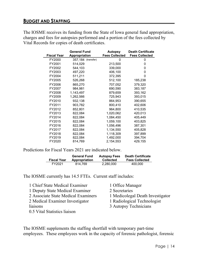### <span id="page-16-0"></span>**BUDGET AND STAFFING**

The IOSME receives its funding from the State of Iowa general fund appropriation, charges and fees for autopsies performed and a portion of the fees collected by Vital Records for copies of death certificates.

|                    | <b>General Fund</b>  | <b>Autopsy</b>        | <b>Death Certificate</b> |
|--------------------|----------------------|-----------------------|--------------------------|
| <b>Fiscal Year</b> | <b>Appropriation</b> | <b>Fees Collected</b> | <b>Fees Collected</b>    |
| FY2000             | 357,184 (transfer)   |                       | 0                        |
| FY2001             | 514,029              | 213,500               | ი                        |
| FY2002             | 544,103              | 339,000               | 0                        |
| FY2003             | 497,220              | 406,100               | 0                        |
| FY2004             | 511,211              | 372,395               | 0                        |
| FY2005             | 526,268              | 512,100               | 185,238                  |
| FY2006             | 865,270              | 707,052               | 379,320                  |
| FY2007             | 984,981              | 690,590               | 383,187                  |
| FY2008             | 1,143,497            | 879,659               | 393,162                  |
| FY2009             | 1,262,566            | 725,943               | 393,015                  |
| FY2010             | 932,138              | 864,953               | 390,655                  |
| FY2011             | 903,782              | 800,410               | 402,606                  |
| FY2012             | 852,801              | 964,800               | 410,535                  |
| FY2013             | 822,084              | 1,020,062             | 420,013                  |
| FY2014             | 822,084              | 1,084,450             | 405,449                  |
| FY2015             | 822,084              | 1,059,100             | 403,825                  |
| FY2016             | 822,084              | 1,056,496             | 387,301                  |
| FY2017             | 822,084              | 1,134,550             | 405,828                  |
| FY2018             | 822,084              | 1,118,309             | 397,899                  |
| FY2019             | 822,084              | 1,492,000             | 394,704                  |
| FY2020             | 814,769              | 2,154,553             | 429,155                  |

Predictions for Fiscal Years 2021 are indicated below.

| Fiscal Year | <b>General Fund</b> | <b>Autopsy Fees</b> | <b>Death Certificate</b> |
|-------------|---------------------|---------------------|--------------------------|
|             | Appropriation       | Collected           | <b>Fees Collected</b>    |
|             | 814.769             | 2.280.000           | .000                     |

The IOSME currently has 14.5 FTEs. Current staff includes:

1 Chief State Medical Examiner

- 1 Deputy State Medical Examiner
- 2 Associate State Medical Examiners
- 2 Medical Examiner Investigator

liaisons

0.5 Vital Statistics liaison

- 1 Office Manager
- 2 Secretaries
- 1 Medicolegal Death Investigator
- 1 Radiological Technologist
- 3 Autopsy Technicians

The IOSME supplements the staffing shortfall with temporary part-time employees. These employees work in the capacity of forensic pathologist, forensic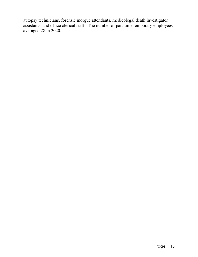autopsy technicians, forensic morgue attendants, medicolegal death investigator assistants, and office clerical staff. The number of part-time temporary employees averaged 28 in 2020.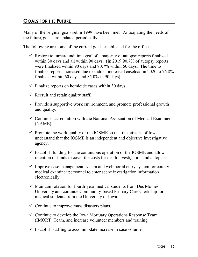## <span id="page-18-0"></span>**GOALS FOR THE FUTURE**

Many of the original goals set in 1999 have been met. Anticipating the needs of the future, goals are updated periodically.

The following are some of the current goals established for the office:

- $\checkmark$  Restore to turnaround time goal of a majority of autopsy reports finalized within 30 days and all within 90 days. (In 2019 90.7% of autopsy reports were finalized within 90 days and 80.7% within 60 days. The time to finalize reports increased due to sudden increased caseload in 2020 to 76.8% finalized within 60 days and 85.0% in 90 days).
- $\checkmark$  Finalize reports on homicide cases within 30 days.
- $\checkmark$  Recruit and retain quality staff.
- $\checkmark$  Provide a supportive work environment, and promote professional growth and quality.
- $\checkmark$  Continue accreditation with the National Association of Medical Examiners (NAME).
- $\checkmark$  Promote the work quality of the IOSME so that the citizens of Iowa understand that the IOSME is an independent and objective investigative agency.
- $\checkmark$  Establish funding for the continuous operation of the IOSME and allow retention of funds to cover the costs for death investigation and autopsies.
- $\checkmark$  Improve case management system and web portal entry system for county medical examiner personnel to enter scene investigation information electronically.
- $\checkmark$  Maintain rotation for fourth-year medical students from Des Moines University and continue Community-based Primary Care Clerkship for medical students from the University of Iowa.
- $\checkmark$  Continue to improve mass disasters plans.
- $\checkmark$  Continue to develop the Iowa Mortuary Operations Response Team (IMORT) Team, and increase volunteer members and training.
- $\checkmark$  Establish staffing to accommodate increase in case volume.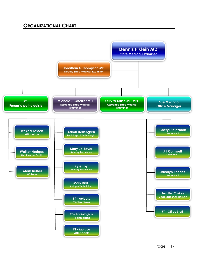## <span id="page-19-0"></span>**ORGANIZATIONAL CHART**

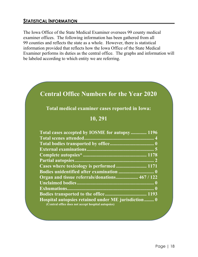## <span id="page-20-0"></span>**STATISTICAL INFORMATION**

The Iowa Office of the State Medical Examiner oversees 99 county medical examiner offices. The following information has been gathered from all 99 counties and reflects the state as a whole. However, there is statistical information provided that reflects how the Iowa Office of the State Medical Examiner performs its duties as the central office. The graphs and information will be labeled according to which entity we are referring.

## **Central Office Numbers for the Year 2020**

**Total medical examiner cases reported in Iowa:**

## **10, 291**

| Total cases accepted by IOSME for autopsy 1196                                                             |
|------------------------------------------------------------------------------------------------------------|
|                                                                                                            |
|                                                                                                            |
|                                                                                                            |
|                                                                                                            |
|                                                                                                            |
| Cases where toxicology is performed  1171                                                                  |
|                                                                                                            |
| Organ and tissue referrals/donations 467 / 122                                                             |
|                                                                                                            |
|                                                                                                            |
|                                                                                                            |
| Hospital autopsies retained under ME jurisdiction 0<br>(Central office does not accept hospital autopsies) |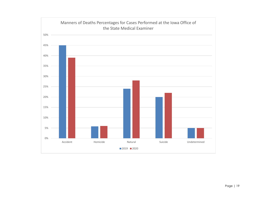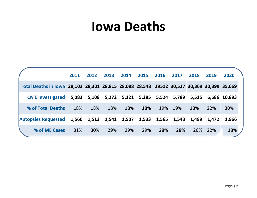# **Iowa Deaths**

|                                                                                           | 2011  | 2012   | 2013  | 2014  | 2015  | 2016  | 2017  | 2018  | 2019       | 2020         |
|-------------------------------------------------------------------------------------------|-------|--------|-------|-------|-------|-------|-------|-------|------------|--------------|
| Total Deaths in Iowa 28,103 28,301 28,815 28,088 28,548 29512 30,527 30,369 30,399 35,669 |       |        |       |       |       |       |       |       |            |              |
| <b>CME Investigated</b>                                                                   | 5,083 | 5,108  | 5,272 | 5,121 | 5,285 | 5,524 | 5,789 | 5,515 |            | 6,686 10,893 |
| % of Total Deaths                                                                         | 18%   | 18%    | 18%   | 18%   | 18%   | 19%   | 19%   | 18%   | <b>22%</b> | 30%          |
| <b>Autopsies Requested</b>                                                                | 1,560 | 1,513  | 1,541 | 1,507 | 1,533 | 1,565 | 1,543 | 1,499 | 1,472      | 1,966        |
| % of ME Cases                                                                             | 31%   | $30\%$ | 29%   | 29%   | 29%   | 28%   | 28%   | 26%   | 22%        | 18%          |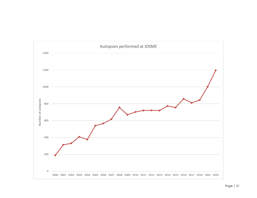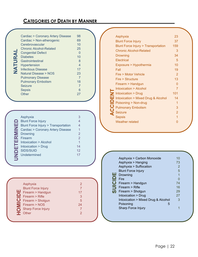## <span id="page-24-0"></span>**CATEGORIES OF DEATH BY MANNER**

| NATURAL | <b>Cardiac &gt; Coronary Artery Disease</b><br>Cardiac > Non-atherogenic<br>Cerebrovascular<br><b>Chronic Alcohol-Related</b><br><b>Congenital Defect</b><br><b>Diabetes</b><br>Gastrointestinal<br><b>Hypertension</b><br><b>Infectious Disease</b><br><b>Natural Disease &gt; NOS</b><br><b>Pulmonary Disease</b><br><b>Pulmonary Embolism</b><br><b>Seizure</b><br><b>Sepsis</b><br>Other | 98<br>69<br>10<br>25<br>U<br>10<br>8<br>4<br>17<br>23<br>7<br>18<br>7<br>6<br>27 |  |
|---------|----------------------------------------------------------------------------------------------------------------------------------------------------------------------------------------------------------------------------------------------------------------------------------------------------------------------------------------------------------------------------------------------|----------------------------------------------------------------------------------|--|
|---------|----------------------------------------------------------------------------------------------------------------------------------------------------------------------------------------------------------------------------------------------------------------------------------------------------------------------------------------------------------------------------------------------|----------------------------------------------------------------------------------|--|

#### Asphyxia 3 UNDETERMINED Blunt Force Injury 4 **UNDETERMINED** Blunt Force Injury > Transportation 4 Cardiac > Coronary Artery Disease 1<br>Drowning 2 Drowning 2<br>
Firearm 2 **Firearm** Intoxication > Alcohol 1 Intoxication > Drug 14 SIDS/SUID 12 Undetermined 17

|           | Asphyxia                    | 2  |
|-----------|-----------------------------|----|
|           | <b>Blunt Force Injury</b>   |    |
|           | <b>LU</b> Firearm > Handgun | 17 |
|           |                             | 3  |
|           | G Firearm > Shotgun         | 5  |
|           | $\sum$ Firearm > NOS        | 24 |
| $\bullet$ | Sharp Force Injury          |    |
|           | <b>Other</b>                |    |
|           |                             |    |

|              | Asphyxia                                          | 23             |  |
|--------------|---------------------------------------------------|----------------|--|
|              | <b>Blunt Force Injury</b>                         | 37             |  |
|              | <b>Blunt Force Injury &gt; Transportation</b>     | 159            |  |
|              | <b>Chronic Alcohol-Related</b>                    | 3              |  |
|              | <b>Drowning</b>                                   | 34             |  |
|              | <b>Electrical</b>                                 | 5              |  |
|              | Exposure > Hypothermia                            | 10             |  |
|              | Fall                                              | 19             |  |
|              | Fire > Motor Vehicle                              | $\mathcal{P}$  |  |
|              | Fire > Structure                                  | 13             |  |
|              | Firearm > Handgun                                 | $\Omega$       |  |
|              | <b>Intoxication &gt; Alcohol</b>                  | 7              |  |
|              | <b>Intoxication &gt; Drug</b>                     | 101            |  |
| щ            | <b>Intoxication &gt; Mixed Drug &amp; Alcohol</b> | 14             |  |
| <b>ACCID</b> | Poisoning > Non-drug                              | 1              |  |
|              | <b>Pulmonary Embolism</b>                         | 3              |  |
|              | <b>Seizure</b>                                    | $\overline{2}$ |  |
|              | <b>Sepsis</b>                                     | $\overline{1}$ |  |
|              | <b>Weather related</b>                            | 0              |  |
|              |                                                   |                |  |
|              |                                                   |                |  |

| ш<br><u>으</u><br>$\overline{\mathbf{5}}$<br>$\boldsymbol{\omega}$ | Asphyxia > Carbon Monoxide          | 10 |  |
|-------------------------------------------------------------------|-------------------------------------|----|--|
|                                                                   | Asphyxia > Hanging                  | 73 |  |
|                                                                   | Asphyxia > Suffocation              | 2  |  |
|                                                                   | <b>Blunt Force Injury</b>           | 5  |  |
|                                                                   | Drowning                            |    |  |
|                                                                   | Fire                                |    |  |
|                                                                   | C Firearm > Handgun                 | 74 |  |
|                                                                   | Firearm > Rifle                     | 16 |  |
|                                                                   | Firearm > Shotgun                   | 29 |  |
|                                                                   | Intoxication > Drug                 | 27 |  |
|                                                                   | Intoxication > Mixed Drug & Alcohol | 3  |  |
|                                                                   | Poisoning<br>5                      |    |  |
|                                                                   | <b>Sharp Force Injury</b>           |    |  |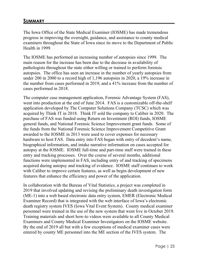## <span id="page-25-0"></span>**SUMMARY**

The Iowa Office of the State Medical Examiner (IOSME) has made tremendous progress in improving the oversight, guidance, and assistance to county medical examiners throughout the State of Iowa since its move to the Department of Public Health in 1999.

The IOSME has performed an increasing number of autopsies since 1999. The main reason for the increase has been due to the decrease in availability of pathologists throughout the state either willing or trained to perform forensic autopsies. The office has seen an increase in the number of yearly autopsies from under 200 in 2000 to a record high of 1,196 autopsies in 2020, a 19% increase in the number from cases performed in 2019, and a 41% increase from the number of cases performed in 2018.

The computer case management application, Forensic Advantage System (FAS), went into production at the end of June 2014. FAS is a customizable off-the-shelf application developed by The Computer Solutions Company (TCSC) which was acquired by Think IT in 2018. Think IT sold the company to Caliber in 2020. The purchase of FAS was funded using Return on Investment (ROI) funds, IOSME general funds, and National Forensic Science Improvement grant funds. Some of the funds from the National Forensic Science Improvement Competitive Grant awarded to the IOSME in 2013 were used to cover expenses for necessary hardware to host FAS. Data entry into FAS began with entry of decedent's name, biographical information, and intake narrative information on cases accepted for autopsy at the IOSME. IOSME full-time and part-time staff were trained in these entry and tracking processes. Over the course of several months, additional functions were implemented in FAS, including entry of and tracking of specimens acquired during autopsy and tracking of evidence. IOSME staff continues to work with Caliber to improve certain features, as well as begin development of new features that enhance the efficiency and power of the application.

In collaboration with the Bureau of Vital Statistics, a project was completed in 2019 that involved updating and revising the preliminary death investigation form (ME-1) into a web based electronic data entry system, EMER (Electronic Medical Examiner Record) that is integrated with the web interface of Iowa's electronic death registry system IVES (Iowa Vital Event System). County medical examiner personnel were trained in the use of the new system that went live in October 2019. Training materials and short how-to videos were available to all County Medical Examiners and County Medical Examiner Investigators on the IOSME website. By the end of 2019 all but with a few exceptions of medical examiner cases were entered by county ME personnel into the ME section of the IVES system. The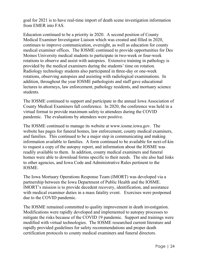goal for 2021 is to have real-time import of death scene investigation information from EMER into FAS.

Education continued to be a priority in 2020. A second position of County Medical Examiner Investigator Liaison which was created and filled in 2020, continues to improve communication, oversight, as well as education for county medical examiner offices. The IOSME continued to provide opportunities for Des Moines University medical students to participate in two-week or four-week rotations to observe and assist with autopsies. Extensive training in pathology is provided by the medical examiners during the students' time on rotation. Radiology technology students also participated in three-day or one-week rotations, observing autopsies and assisting with radiological examinations. In addition, throughout the year IOSME pathologists and staff gave educational lectures to attorneys, law enforcement, pathology residents, and mortuary science students.

The IOSME continued to support and participate in the annual Iowa Association of County Medical Examiners fall conference. In 2020, the conference was held in a virtual format to provide maximum safety to attendees during the COVID pandemic. The evaluations by attendees were positive.

The IOSME continued to manage its website at [www.iosme.iowa.gov.](http://www.iosme.iowa.gov/) The website has pages for funeral homes, law enforcement, county medical examiners, and families. This continued to be a major step in communicating and making information available to families. A form continued to be available for next-of-kin to request a copy of the autopsy report, and information about the IOSME was readily available to them. In addition, county medical examiners and funeral homes were able to download forms specific to their needs. The site also had links to other agencies, and Iowa Code and Administrative Rules pertinent to the IOSME.

The Iowa Mortuary Operations Response Team (IMORT) was developed via a partnership between the Iowa Department of Public Health and the IOSME. IMORT's mission is to provide decedent recovery, identification, and assistance with medical examiner duties in a mass fatality event. Exercises were postponed due to the COVID pandemic.

The IOSME remained committed to quality improvement in death investigation. Modifications were rapidly developed and implemented to autopsy processes to mitigate the risks because of the COVID 19 pandemic. Support and trainings were modified with virtual technologies. The IOSME researched current literature and rapidly provided guidelines for safety recommendations and proper death certification protocols to county medical examiners and funeral directors.